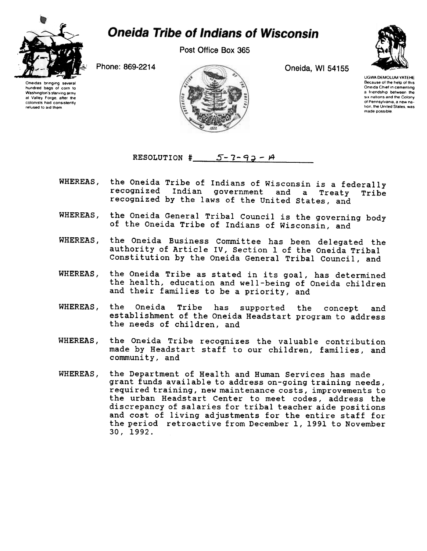

## **Oneida Tribe of Indians of Wisconsin**

Post Office Box 365

Phone: 869-2214 Oneida, WI 54155



UGWA DEMOLUM YATEHE Because of the help of this<br>Oneida Chief in cementing a friendship between the six nations and the Colony 01 Pennsylvania a new nation, the United States, was made possible

Oneidas bringing several hundred bags of corn to Washington's starving army at Valley Forge. after the colonists had consistently refused to aid them



RESOLUTION  $\frac{4}{5}$  5-7-93- $\frac{4}{7}$ 

- WHEREAS, the Oneida Tribe of Indians of Wisconsin is a federally<br>recognized Indian government and a Treaty Tribe Indian government and a Treaty Tribe recognized by the laws of the United states, and
- WHEREAS, the Oneida General Tribal Council is the governing body of the Oneida Tribe of Indians of Wisconsin, and
- WHEREAS, the Oneida Business Committee has been delegated the authority of Article IV, Section 1 of the Oneida Tribal Constitution by the Oneida General Tribal Council, and
- WHEREAS, the Oneida Tribe as stated in its goal, has determined the health, education and well-being of Oneida children and their families to be a priority, and
- WHEREAS, the Oneida Tribe has supported the concept and establishment of the Oneida Headstart program to address the needs of children, and
- WHEREAS, the Oneida Tribe recognizes the valuable contribution made by Headstart staff to our children, families, and community, and
- WHEREAS, the Department of Health and Human Services has made grant funds available to address on-going training needs, required training, new maintenance costs, improvements to the urban Headstart Center to meet codes, address the discrepancy of salaries for tribal teacher aide positions and cost of living adjustments for the entire staff for the period retroactive from December 1,1991 to November 30, 1992.